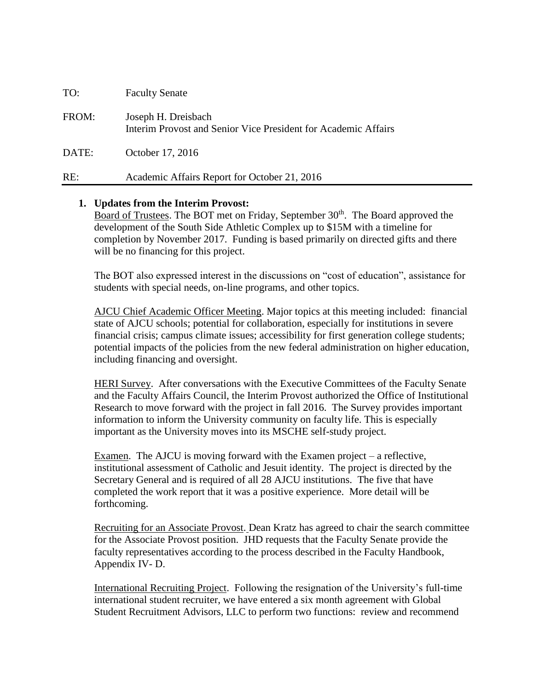| TO:   | <b>Faculty Senate</b>                                                                 |
|-------|---------------------------------------------------------------------------------------|
| FROM: | Joseph H. Dreisbach<br>Interim Provost and Senior Vice President for Academic Affairs |
| DATE: | October 17, 2016                                                                      |
| RE:   | Academic Affairs Report for October 21, 2016                                          |

### **1. Updates from the Interim Provost:**

Board of Trustees. The BOT met on Friday, September 30<sup>th</sup>. The Board approved the development of the South Side Athletic Complex up to \$15M with a timeline for completion by November 2017. Funding is based primarily on directed gifts and there will be no financing for this project.

The BOT also expressed interest in the discussions on "cost of education", assistance for students with special needs, on-line programs, and other topics.

AJCU Chief Academic Officer Meeting. Major topics at this meeting included: financial state of AJCU schools; potential for collaboration, especially for institutions in severe financial crisis; campus climate issues; accessibility for first generation college students; potential impacts of the policies from the new federal administration on higher education, including financing and oversight.

HERI Survey. After conversations with the Executive Committees of the Faculty Senate and the Faculty Affairs Council, the Interim Provost authorized the Office of Institutional Research to move forward with the project in fall 2016. The Survey provides important information to inform the University community on faculty life. This is especially important as the University moves into its MSCHE self-study project.

Examen. The AJCU is moving forward with the Examen project – a reflective, institutional assessment of Catholic and Jesuit identity. The project is directed by the Secretary General and is required of all 28 AJCU institutions. The five that have completed the work report that it was a positive experience. More detail will be forthcoming.

Recruiting for an Associate Provost. Dean Kratz has agreed to chair the search committee for the Associate Provost position. JHD requests that the Faculty Senate provide the faculty representatives according to the process described in the Faculty Handbook, Appendix IV- D.

International Recruiting Project. Following the resignation of the University's full-time international student recruiter, we have entered a six month agreement with Global Student Recruitment Advisors, LLC to perform two functions: review and recommend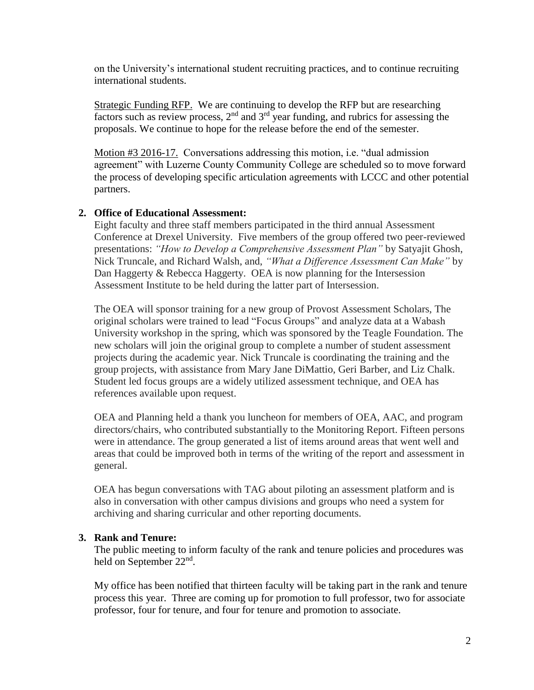on the University's international student recruiting practices, and to continue recruiting international students.

Strategic Funding RFP. We are continuing to develop the RFP but are researching factors such as review process,  $2<sup>nd</sup>$  and  $3<sup>rd</sup>$  year funding, and rubrics for assessing the proposals. We continue to hope for the release before the end of the semester.

Motion #3 2016-17. Conversations addressing this motion, i.e. "dual admission agreement" with Luzerne County Community College are scheduled so to move forward the process of developing specific articulation agreements with LCCC and other potential partners.

## **2. Office of Educational Assessment:**

Eight faculty and three staff members participated in the third annual Assessment Conference at Drexel University. Five members of the group offered two peer-reviewed presentations: *"How to Develop a Comprehensive Assessment Plan"* by Satyajit Ghosh, Nick Truncale, and Richard Walsh, and, *"What a Difference Assessment Can Make"* by Dan Haggerty & Rebecca Haggerty. OEA is now planning for the Intersession Assessment Institute to be held during the latter part of Intersession.

The OEA will sponsor training for a new group of Provost Assessment Scholars, The original scholars were trained to lead "Focus Groups" and analyze data at a Wabash University workshop in the spring, which was sponsored by the Teagle Foundation. The new scholars will join the original group to complete a number of student assessment projects during the academic year. Nick Truncale is coordinating the training and the group projects, with assistance from Mary Jane DiMattio, Geri Barber, and Liz Chalk. Student led focus groups are a widely utilized assessment technique, and OEA has references available upon request.

OEA and Planning held a thank you luncheon for members of OEA, AAC, and program directors/chairs, who contributed substantially to the Monitoring Report. Fifteen persons were in attendance. The group generated a list of items around areas that went well and areas that could be improved both in terms of the writing of the report and assessment in general.

OEA has begun conversations with TAG about piloting an assessment platform and is also in conversation with other campus divisions and groups who need a system for archiving and sharing curricular and other reporting documents.

### **3. Rank and Tenure:**

The public meeting to inform faculty of the rank and tenure policies and procedures was held on September 22<sup>nd</sup>.

My office has been notified that thirteen faculty will be taking part in the rank and tenure process this year. Three are coming up for promotion to full professor, two for associate professor, four for tenure, and four for tenure and promotion to associate.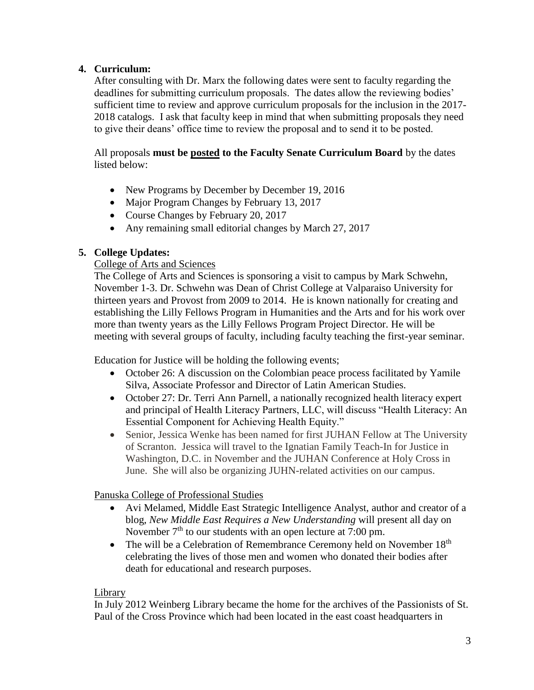# **4. Curriculum:**

After consulting with Dr. Marx the following dates were sent to faculty regarding the deadlines for submitting curriculum proposals. The dates allow the reviewing bodies' sufficient time to review and approve curriculum proposals for the inclusion in the 2017- 2018 catalogs. I ask that faculty keep in mind that when submitting proposals they need to give their deans' office time to review the proposal and to send it to be posted.

All proposals **must be posted to the Faculty Senate Curriculum Board** by the dates listed below:

- New Programs by December by December 19, 2016
- Major Program Changes by February 13, 2017
- Course Changes by February 20, 2017
- Any remaining small editorial changes by March 27, 2017

# **5. College Updates:**

## College of Arts and Sciences

The College of Arts and Sciences is sponsoring a visit to campus by Mark Schwehn, November 1-3. Dr. Schwehn was Dean of Christ College at Valparaiso University for thirteen years and Provost from 2009 to 2014. He is known nationally for creating and establishing the Lilly Fellows Program in Humanities and the Arts and for his work over more than twenty years as the Lilly Fellows Program Project Director. He will be meeting with several groups of faculty, including faculty teaching the first-year seminar.

Education for Justice will be holding the following events;

- October 26: A discussion on the Colombian peace process facilitated by Yamile Silva, Associate Professor and Director of Latin American Studies.
- October 27: Dr. Terri Ann Parnell, a nationally recognized health literacy expert and principal of Health Literacy Partners, LLC, will discuss "Health Literacy: An Essential Component for Achieving Health Equity."
- Senior, Jessica Wenke has been named for first JUHAN Fellow at The University of Scranton. Jessica will travel to the Ignatian Family Teach-In for Justice in Washington, D.C. in November and the JUHAN Conference at Holy Cross in June. She will also be organizing JUHN-related activities on our campus.

## Panuska College of Professional Studies

- Avi Melamed, Middle East Strategic Intelligence Analyst, author and creator of a blog, *New Middle East Requires a New Understanding* will present all day on November  $7<sup>th</sup>$  to our students with an open lecture at 7:00 pm.
- The will be a Celebration of Remembrance Ceremony held on November  $18<sup>th</sup>$ celebrating the lives of those men and women who donated their bodies after death for educational and research purposes.

## Library

In July 2012 Weinberg Library became the home for the archives of the Passionists of St. Paul of the Cross Province which had been located in the east coast headquarters in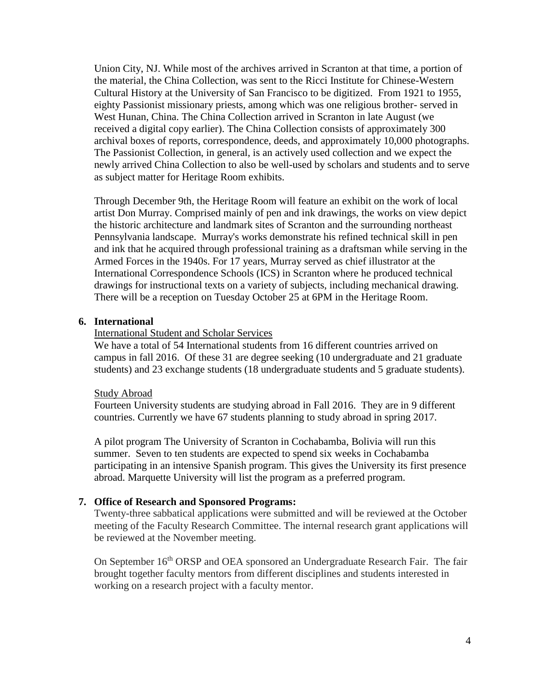Union City, NJ. While most of the archives arrived in Scranton at that time, a portion of the material, the China Collection, was sent to the Ricci Institute for Chinese-Western Cultural History at the University of San Francisco to be digitized. From 1921 to 1955, eighty Passionist missionary priests, among which was one religious brother- served in West Hunan, China. The China Collection arrived in Scranton in late August (we received a digital copy earlier). The China Collection consists of approximately 300 archival boxes of reports, correspondence, deeds, and approximately 10,000 photographs. The Passionist Collection, in general, is an actively used collection and we expect the newly arrived China Collection to also be well-used by scholars and students and to serve as subject matter for Heritage Room exhibits.

Through December 9th, the Heritage Room will feature an exhibit on the work of local artist Don Murray. Comprised mainly of pen and ink drawings, the works on view depict the historic architecture and landmark sites of Scranton and the surrounding northeast Pennsylvania landscape. Murray's works demonstrate his refined technical skill in pen and ink that he acquired through professional training as a draftsman while serving in the Armed Forces in the 1940s. For 17 years, Murray served as chief illustrator at the International Correspondence Schools (ICS) in Scranton where he produced technical drawings for instructional texts on a variety of subjects, including mechanical drawing. There will be a reception on Tuesday October 25 at 6PM in the Heritage Room.

#### **6. International**

#### International Student and Scholar Services

We have a total of 54 International students from 16 different countries arrived on campus in fall 2016. Of these 31 are degree seeking (10 undergraduate and 21 graduate students) and 23 exchange students (18 undergraduate students and 5 graduate students).

#### Study Abroad

Fourteen University students are studying abroad in Fall 2016. They are in 9 different countries. Currently we have 67 students planning to study abroad in spring 2017.

A pilot program The University of Scranton in Cochabamba, Bolivia will run this summer. Seven to ten students are expected to spend six weeks in Cochabamba participating in an intensive Spanish program. This gives the University its first presence abroad. Marquette University will list the program as a preferred program.

#### **7. Office of Research and Sponsored Programs:**

Twenty-three sabbatical applications were submitted and will be reviewed at the October meeting of the Faculty Research Committee. The internal research grant applications will be reviewed at the November meeting.

On September 16<sup>th</sup> ORSP and OEA sponsored an Undergraduate Research Fair. The fair brought together faculty mentors from different disciplines and students interested in working on a research project with a faculty mentor.